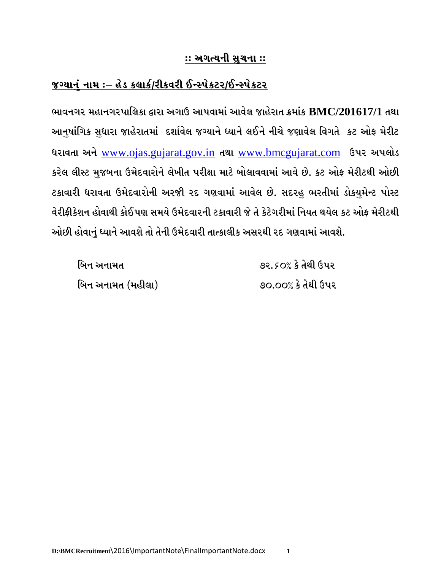## <u> જગ્યાનું નામ :– હેડ કલાર્ક/રીકવરી ઈન્સ્પેકટર/ઈન્સ્પેકટર</u>

ભાવનગર મહાનગરપાલિકા દ્વારા અગાઉ આપવામાં આવેલ જાહેરાત ક્રમાંક BMC/201617/1 તથા આનુષાંગિક સુધારા જાહેરાતમાં દર્શાવેલ જગ્યાને ધ્યાને લઈને નીચે જણાવેલ વિગતે કટ ઓફ મેરીટ ધરાવતા અને www.ojas.gujarat.gov.in તથા www.bmcgujarat.com ઉપર અપલોડ કરેલ લીસ્ટ મુજબના ઉમેદવારોને લેખીત પરીક્ષા માટે બોલાવવામાં આવે છે. કટ ઓફ મેરીટથી ઓછી ટકાવારી ધરાવતા ઉમેદવારોની અરજીી રદ ગણવામાં આવેલ છે. સદરહુ ભરતીમાં ડોકયુમેન્ટ પોસ્ટ વેરીકીકેશન હોવાથી કોઈપણ સમયે ઉમેદવારની ટકાવારી જે તે કેટેગરીમાં નિયત થયેલ કટ ઓક મેરીટથી ઓછી હોવાનું ધ્યાને આવશે તો તેની ઉમેદવારી તાત્કાલીક અસરથી રદ ગણવામાં આવશે.

| બિન અનામત         | ૭૨.૬૦% કે તેથી ઉપર |
|-------------------|--------------------|
| બિન અનામત (મહીલા) | ૭૦.૦૦% કે તેથી ઉપર |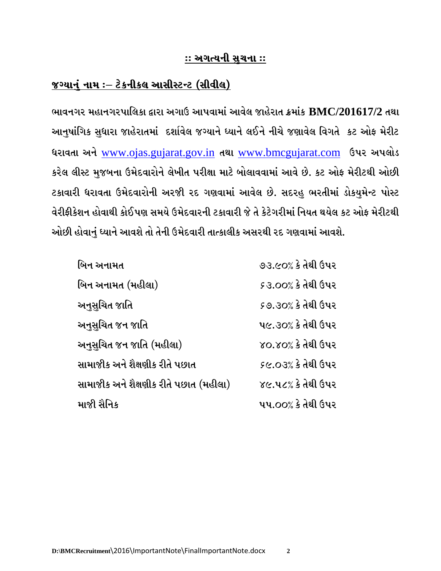### <u> જગ્યાનું નામ ઃ– ટેકનીકલ આસીસ્ટન્ટ (સીવીલ)</u>

ભાવનગર મહાનગરપાલિકા દ્વારા અગાઉ આપવામાં આવેલ જાહેરાત ક્રમાંક BMC/201617/2 તથા આનુષાંગિક સુધારા જાહેરાતમાં દર્શાવેલ જગ્યાને ધ્યાને લઈને નીચે જણાવેલ વિગતે કટ ઓફ મેરીટ ધરાવતા અને www.ojas.gujarat.gov.in તથા www.bmcgujarat.com ઉપર અપલોડ કરેલ લીસ્ટ મુજબના ઉમેદવારોને લેખીત પરીક્ષા માટે બોલાવવામાં આવે છે. કટ ઓફ મેરીટથી ઓછી ટકાવારી ધરાવતા ઉમેદવારોની અરજીી રદ ગણવામાં આવેલ છે. સદરહુ ભરતીમાં ડોકયુમેન્ટ પોસ્ટ વેરીકીકેશન હોવાથી કોઈપણ સમયે ઉમેદવારની ટકાવારી જે તે કેટેગરીમાં નિયત થયેલ કટ ઓક મેરીટથી ઓછી હોવાનું ધ્યાને આવશે તો તેની ઉમેદવારી તાત્કાલીક અસરથી રદ ગણવામાં આવશે.

| બિન અનામત                              | ૭૩.૯૦% કે તેથી ઉપર         |
|----------------------------------------|----------------------------|
| બિન અનામત (મહીલા)                      | <i>૬</i> ૩.૦૦% કે તેથી ઉપર |
| અનુસુચિત જાતિ                          | ૬૭.૩૦% કે તેથી ઉપર         |
| અનુસુચિત જન જાતિ                       | ૫૯.૩૦% કે તેથી ઉપર         |
| અનુસુચિત જન જાતિ (મહીલા)               | ૪૦.૪૦% કે તેથી ઉપર         |
| સામાજીક અને શૈક્ષણીક રીતે પછાત         | ૬૯.૦૩% કે તેથી ઉપર         |
| સામાજીક અને શૈક્ષણીક રીતે પછાત (મહીલા) | ૪૯.૫૮% કે તેથી ઉપર         |
| માજી સૈનિક                             | ૫૫.૦૦% કે તેથી ઉપર         |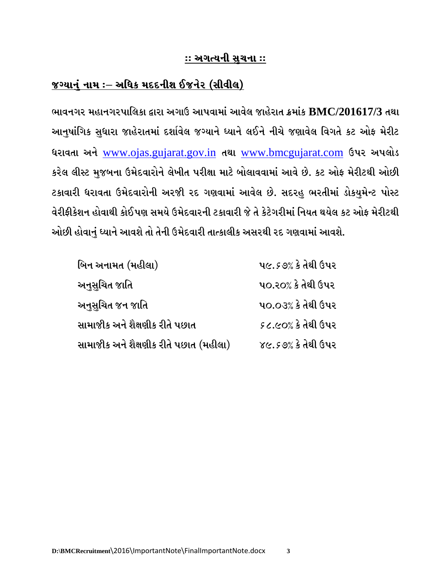# <u> જગ્યાનું નામ :– અધિક મદદનીશ ઈજનેર (સીવીલ)</u>

ભાવનગર મહાનગરપાલિકા દ્વારા અગાઉ આપવામાં આવેલ જાહેરાત ક્રમાંક BMC/201617/3 તથા આનુષાંગિક સુધારા જાહેરાતમાં દર્શાવેલ જગ્યાને ધ્યાને લઈને નીચે જણાવેલ વિગતે કટ ઓફ મેરીટ ધરાવતા અને www.ojas.gujarat.gov.in તથા www.bmcgujarat.com ઉપર અપલોડ કરેલ લીસ્ટ મુજબના ઉમેદવારોને લેખીત પરીક્ષા માટે બોલાવવામાં આવે છે. કટ ઓફ મેરીટથી ઓછી ટકાવારી ધરાવતા ઉમેદવારોની અરજીી રદ ગણવામાં આવેલ છે. સદરહુ ભરતીમાં ડોકયુમેન્ટ પોસ્ટ વેરીકીકેશન હોવાથી કોઈપણ સમયે ઉમેદવારની ટકાવારી જે તે કેટેગરીમાં નિયત થયેલ કટ ઓક મેરીટથી ઓછી હોવાનું ધ્યાને આવશે તો તેની ઉમેદવારી તાત્કાલીક અસરથી રદ ગણવામાં આવશે.

| બિન અનામત (મહીલા)                      | ૫૯.૬૭% કે તેથી ઉપર |
|----------------------------------------|--------------------|
| અનુસુચિત જાતિ                          | ૫૦.૨૦% કે તેથી ઉપર |
| અનુસુચિત જન જાતિ                       | ૫૦.૦૩% કે તેથી ઉપર |
| સામાજીક અને શૈક્ષણીક રીતે પછાત         | ૬૮.૯૦% કે તેથી ઉપર |
| સામાજીક અને શૈક્ષણીક રીતે પછાત (મહીલા) | ૪૯.૬૭% કે તેથી ઉપર |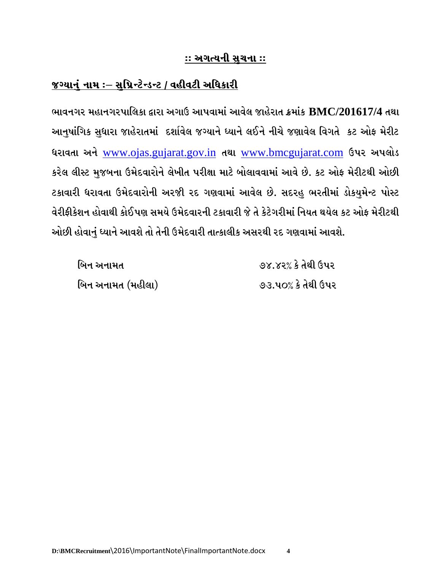## જગ્યાનું નામ ઃ– સુપ્રિન્ટેન્ડન્ટ / વહીવટી અધિકારી

ભાવનગર મહાનગરપાલિકા દ્વારા અગાઉ આપવામાં આવેલ જાહેરાત ક્રમાંક BMC/201617/4 તથા આનુષાંગિક સુધારા જાહેરાતમાં દર્શાવેલ જગ્યાને ધ્યાને લઈને નીચે જણાવેલ વિગતે કટ ઓફ મેરીટ ધરાવતા અને www.ojas.gujarat.gov.in તથા www.bmcgujarat.com ઉપર અપલોડ કરેલ લીસ્ટ મુજબના ઉમેદવારોને લેખીત પરીક્ષા માટે બોલાવવામાં આવે છે. કટ ઓફ મેરીટથી ઓછી ટકાવારી ધરાવતા ઉમેદવારોની અરજીી રદ ગણવામાં આવેલ છે. સદરહુ ભરતીમાં ડોકયુમેન્ટ પોસ્ટ વેરીફીકેશન હોવાથી કોઈપણ સમયે ઉમેદવારની ટકાવારી જે તે કેટેગરીમાં નિયત થયેલ કટ ઓફ મેરીટથી ઓછી હોવાનું ધ્યાને આવશે તો તેની ઉમેદવારી તાત્કાલીક અસરથી રદ ગણવામાં આવશે.

| બિન અનામત         | ૭૪.૪૨% કે તેથી ઉપર |
|-------------------|--------------------|
| બિન અનામત (મહીલા) | ૭૩.૫૦% કે તેથી ઉપર |